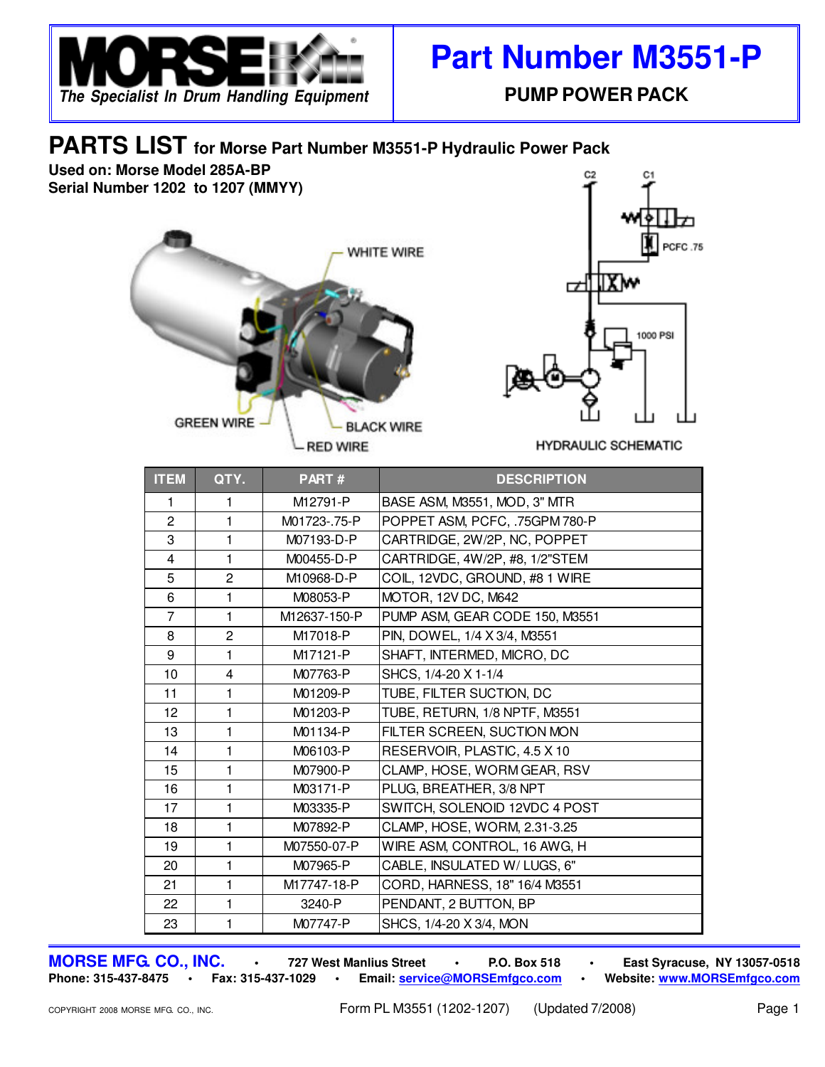

## **Part Number M3551-P**

## **PARTS LIST for Morse Part Number M3551-P Hydraulic Power Pack**

**Used on: Morse Model 285A-BP Serial Number 1202 to 1207 (MMYY)**





**HYDRAULIC SCHEMATIC** 

| <b>ITEM</b>     | QTY.                    | PART#        | <b>DESCRIPTION</b>             |
|-----------------|-------------------------|--------------|--------------------------------|
| 1.              | 1                       | M12791-P     | BASE ASM, M3551, MOD, 3" MTR   |
| $\overline{2}$  | 1                       | M01723-.75-P | POPPET ASM, PCFC, .75GPM 780-P |
| 3               | 1                       | M07193-D-P   | CARTRIDGE, 2W/2P, NC, POPPET   |
| $\overline{4}$  | 1                       | M00455-D-P   | CARTRIDGE, 4W/2P, #8, 1/2"STEM |
| 5               | $\overline{2}$          | M10968-D-P   | COIL, 12VDC, GROUND, #8 1 WIRE |
| 6               | 1                       | M08053-P     | MOTOR, 12V DC, M642            |
| $\overline{7}$  | $\blacksquare$          | M12637-150-P | PUMP ASM, GEAR CODE 150, M3551 |
| 8               | $\overline{2}$          | M17018-P     | PIN, DOWEL, 1/4 X 3/4, M3551   |
| 9               | 1                       | M17121-P     | SHAFT, INTERMED, MICRO, DC     |
| 10              | $\overline{\mathbf{4}}$ | M07763-P     | SHCS, 1/4-20 X 1-1/4           |
| 11              | 1                       | M01209-P     | TUBE, FILTER SUCTION, DC       |
| 12 <sup>2</sup> | 1                       | M01203-P     | TUBE, RETURN, 1/8 NPTF, M3551  |
| 13              | 1                       | M01134-P     | FILTER SCREEN, SUCTION MON     |
| 14              | 1                       | M06103-P     | RESERVOIR, PLASTIC, 4.5 X 10   |
| 15              | 1                       | M07900-P     | CLAMP, HOSE, WORM GEAR, RSV    |
| 16              | 1                       | M03171-P     | PLUG, BREATHER, 3/8 NPT        |
| 17              | 1                       | M03335-P     | SWITCH, SOLENOID 12VDC 4 POST  |
| 18              | 1                       | M07892-P     | CLAMP, HOSE, WORM, 2.31-3.25   |
| 19              | 1                       | M07550-07-P  | WIRE ASM, CONTROL, 16 AWG, H   |
| 20              | 1                       | M07965-P     | CABLE, INSULATED W/LUGS, 6"    |
| 21              | 1                       | M17747-18-P  | CORD, HARNESS, 18" 16/4 M3551  |
| 22              | 1                       | 3240-P       | PENDANT, 2 BUTTON, BP          |
| 23              | 1                       | M07747-P     | SHCS, 1/4-20 X 3/4, MON        |

**MORSE MFG. CO., INC. • 727 West Manlius Street • P.O. Box 518 • East Syracuse, NY 13057-0518 Phone: 315-437-8475 • Fax: 315-437-1029 • Email: service@MORSEmfgco.com • Website: www.MORSEmfgco.com**